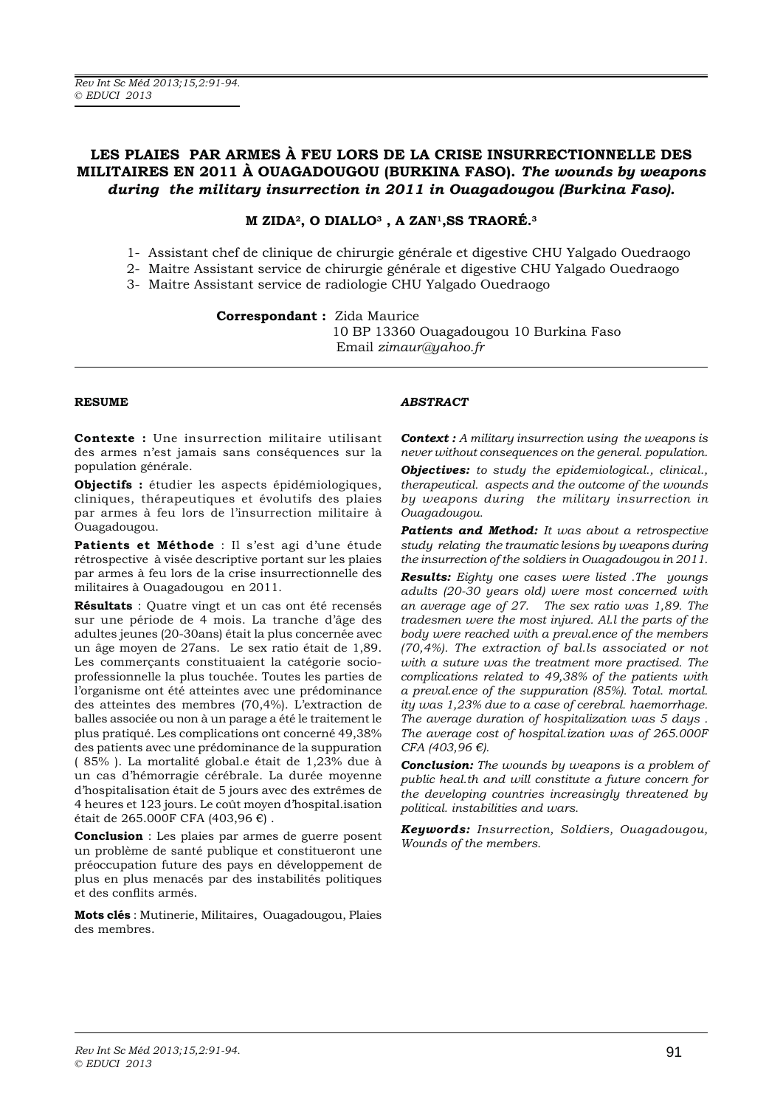# **LES PLAIES PAR ARMES À FEU LORS DE LA CRISE INSURRECTIONNELLE DES MILITAIRES EN 2011 À OUAGADOUGOU (BURKINA FASO).** The wounds by weapons during the military insurrection in 2011 in Ouagadougou (Burkina Faso).

## **M ZIDA2, O DIALLO3 , A ZAN1,SS TRAORÉ.3**

- 1- Assistant chef de clinique de chirurgie générale et digestive CHU Yalgado Ouedraogo
- 2- Maitre Assistant service de chirurgie générale et digestive CHU Yalgado Ouedraogo
- 3- Maitre Assistant service de radiologie CHU Yalgado Ouedraogo

**Correspondant : Zida Maurice** 10 BP 13360 Ouagadougou 10 Burkina Faso Email zimaur@yahoo.fr

#### **RESUME**

**Contexte :** Une insurrection militaire utilisant des armes n'est jamais sans conséquences sur la population générale.

**Objectifs :** étudier les aspects épidémiologiques, cliniques, thérapeutiques et évolutifs des plaies par armes à feu lors de l'insurrection militaire à Ouagadougou.

Patients et Méthode : Il s'est agi d'une étude rétrospective à visée descriptive portant sur les plaies par armes à feu lors de la crise insurrectionnelle des militaires à Ouagadougou en 2011.

**Résultats** : Quatre vingt et un cas ont été recensés sur une période de 4 mois. La tranche d'âge des adultes jeunes (20-30ans) était la plus concernée avec un âge moyen de 27ans. Le sex ratio était de 1,89. Les commerçants constituaient la catégorie socioprofessionnelle la plus touchée. Toutes les parties de l'organisme ont été atteintes avec une prédominance des atteintes des membres (70,4%). L'extraction de balles associée ou non à un parage a été le traitement le plus pratiqué. Les complications ont concerné 49,38% des patients avec une prédominance de la suppuration (85%). La mortalité global.e était de 1,23% due à un cas d'hémorragie cérébrale. La durée moyenne d'hospitalisation était de 5 jours avec des extrêmes de 4 heures et 123 jours. Le coût moyen d'hospital isation était de 265.000F CFA (403,96 $\epsilon$ ).

**Conclusion** : Les plaies par armes de guerre posent un problème de santé publique et constitueront une préoccupation future des pays en développement de plus en plus menacés par des instabilités politiques et des conflits armés.

**Mots clés** : Mutinerie, Militaires, Ouagadougou, Plaies des membres.

## *ABSTRACT*

**Context**: A military insurrection using the weapons is *never without consequences on the general. population.*

*Objectives: to study the epidemiological., clinical., therapeutical. aspects and the outcome of the wounds by weapons during the military insurrection in Ouagadougou.*

**Patients and Method:** It was about a retrospective *study relating the traumatic lesions by weapons during the insurrection of the soldiers in Ouagadougou in 2011.*

**Results:** Eighty one cases were listed .The youngs *adults (20-30 years old) were most concerned with an average age of 27. The sex ratio was 1,89. The tradesmen were the most injured. Al.l the parts of the body were reached with a preval.ence of the members (70,4%). The extraction of bal.ls associated or not with a suture was the treatment more practised. The complications related to 49,38% of the patients with a preval.ence of the suppuration (85%). Total. mortal. ity was 1,23% due to a case of cerebral. haemorrhage. The average duration of hospitalization was 5 days . The average cost of hospital.ization was of 265.000F CFA (403,96 €).*

**Conclusion:** The wounds by weapons is a problem of *public heal.th and will constitute a future concern for the developing countries increasingly threatened by political. instabilities and wars.*

*.H\ZRUGV Insurrection, Soldiers, Ouagadougou, Wounds of the members.*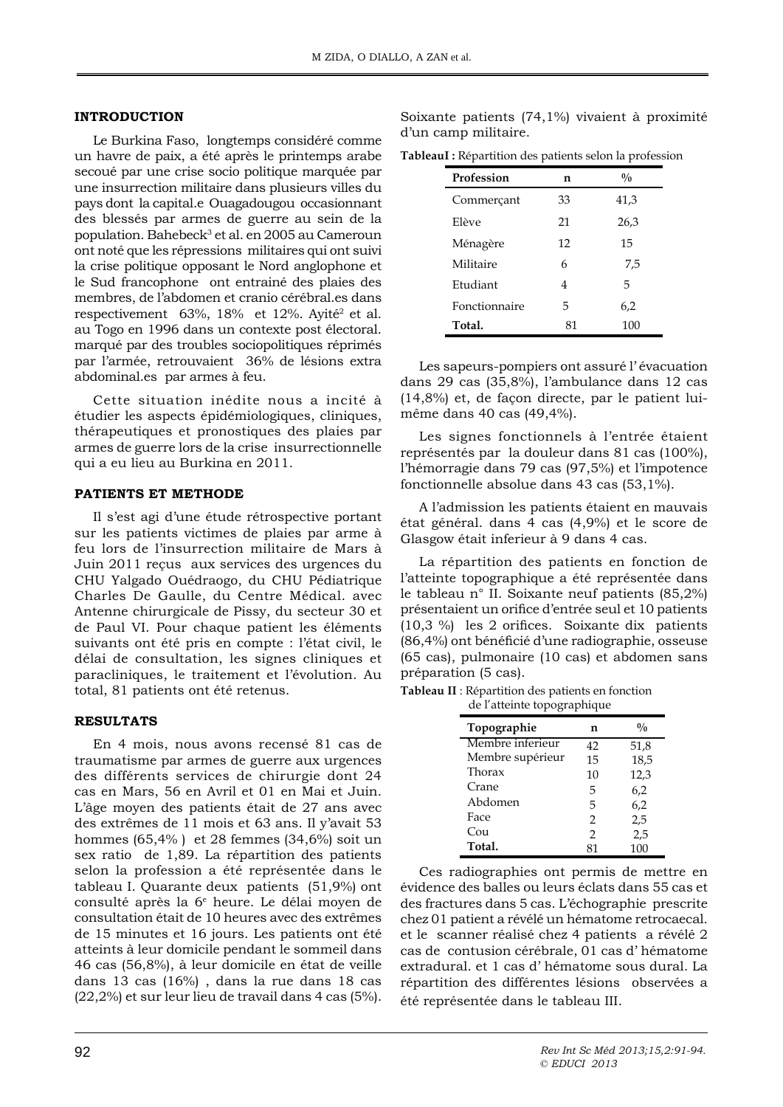#### **INTRODUCTION**

Le Burkina Faso, longtemps considéré comme un havre de paix, a été après le printemps arabe secoué par une crise socio politique marquée par une insurrection militaire dans plusieurs villes du pays dont la capital.e Ouagadougou occasionnant des blessés par armes de guerre au sein de la population. Bahebeck<sup>3</sup> et al. en 2005 au Cameroun ont noté que les répressions militaires qui ont suivi la crise politique opposant le Nord anglophone et le Sud francophone ont entrainé des plaies des membres, de l'abdomen et cranio cérébral.es dans respectivement 63%, 18% et 12%. Ayité<sup>2</sup> et al. au Togo en 1996 dans un contexte post électoral. marqué par des troubles sociopolitiques réprimés par l'armée, retrouvaient 36% de lésions extra abdominal.es par armes à feu.

Cette situation inédite nous a incité à étudier les aspects épidémiologiques, cliniques, thérapeutiques et pronostiques des plaies par armes de guerre lors de la crise insurrectionnelle qui a eu lieu au Burkina en 2011.

#### PATIENTS ET METHODE

Il s'est agi d'une étude rétrospective portant sur les patients victimes de plaies par arme à feu lors de l'insurrection militaire de Mars à Juin 2011 reçus aux services des urgences du CHU Yalgado Ouédraogo, du CHU Pédiatrique Charles De Gaulle, du Centre Médical. avec Antenne chirurgicale de Pissy, du secteur 30 et de Paul VI. Pour chaque patient les éléments suivants ont été pris en compte : l'état civil, le délai de consultation, les signes cliniques et paracliniques, le traitement et l'évolution. Au total, 81 patients ont été retenus.

#### **RESULTATS**

En 4 mois, nous avons recensé 81 cas de traumatisme par armes de guerre aux urgences des différents services de chirurgie dont 24 cas en Mars, 56 en Avril et 01 en Mai et Juin. L'âge moyen des patients était de 27 ans avec des extrêmes de 11 mois et 63 ans. Il y'avait 53 hommes  $(65,4\%)$  et 28 femmes  $(34,6\%)$  soit un sex ratio de 1,89. La répartition des patients selon la profession a été représentée dans le tableau I. Quarante deux patients (51,9%) ont consulté après la 6<sup>e</sup> heure. Le délai moyen de consultation était de 10 heures avec des extrêmes de 15 minutes et 16 jours. Les patients ont été atteints à leur domicile pendant le sommeil dans 46 cas (56,8%), à leur domicile en état de veille dans 13 cas (16%), dans la rue dans 18 cas (22,2%) et sur leur lieu de travail dans 4 cas (5%).

Soixante patients  $(74,1\%)$  vivaient à proximité d'un camp militaire.

TableauI: Répartition des patients selon la profession

| Profession    | n  | $\frac{0}{0}$ |
|---------------|----|---------------|
| Commerçant    | 33 | 41,3          |
| Elève         | 21 | 26,3          |
| Ménagère      | 12 | 15            |
| Militaire     | 6  | 7,5           |
| Etudiant      | 4  | 5             |
| Fonctionnaire | 5  | 6,2           |
| Total.        | 81 | 100           |

Les sapeurs-pompiers ont assuré l'évacuation dans 29 cas (35,8%), l'ambulance dans 12 cas  $(14,8\%)$  et, de facon directe, par le patient luimême dans 40 cas (49,4%).

Les signes fonctionnels à l'entrée étaient représentés par la douleur dans 81 cas (100%), l'hémorragie dans 79 cas (97,5%) et l'impotence fonctionnelle absolue dans 43 cas (53,1%).

A l'admission les patients étaient en mauvais état général. dans 4 cas (4,9%) et le score de Glasgow était inferieur à 9 dans 4 cas.

La répartition des patients en fonction de l'atteinte topographique a été représentée dans le tableau n° II. Soixante neuf patients  $(85,2\%)$ présentaient un orifice d'entrée seul et 10 patients  $(10,3\%)$  les 2 orifices. Soixante dix patients (86,4%) ont bénéficié d'une radiographie, osseuse (65 cas), pulmonaire (10 cas) et abdomen sans préparation (5 cas).

| <b>Tableau II</b> : Répartition des patients en fonction |
|----------------------------------------------------------|
| de l'atteinte topographique                              |

| ac I attentic topographique |                |               |
|-----------------------------|----------------|---------------|
| Topographie                 | n              | $\frac{0}{0}$ |
| Membre inferieur            | 42             | 51,8          |
| Membre supérieur            | 15             | 18,5          |
| Thorax                      | 10             | 12,3          |
| Crane                       | 5              | 6,2           |
| Abdomen                     | 5              | 6,2           |
| Face                        | $\overline{2}$ | 2,5           |
| Cou                         | $\mathcal{P}$  | 2,5           |
| Total.                      |                | 100           |

Ces radiographies ont permis de mettre en évidence des balles ou leurs éclats dans 55 cas et des fractures dans 5 cas. L'échographie prescrite chez 01 patient a révélé un hématome retrocaecal. et le scanner réalisé chez 4 patients a révélé 2 cas de contusion cérébrale, 01 cas d'hématome extradural. et 1 cas d'hématome sous dural. La répartition des différentes lésions observées a été représentée dans le tableau III.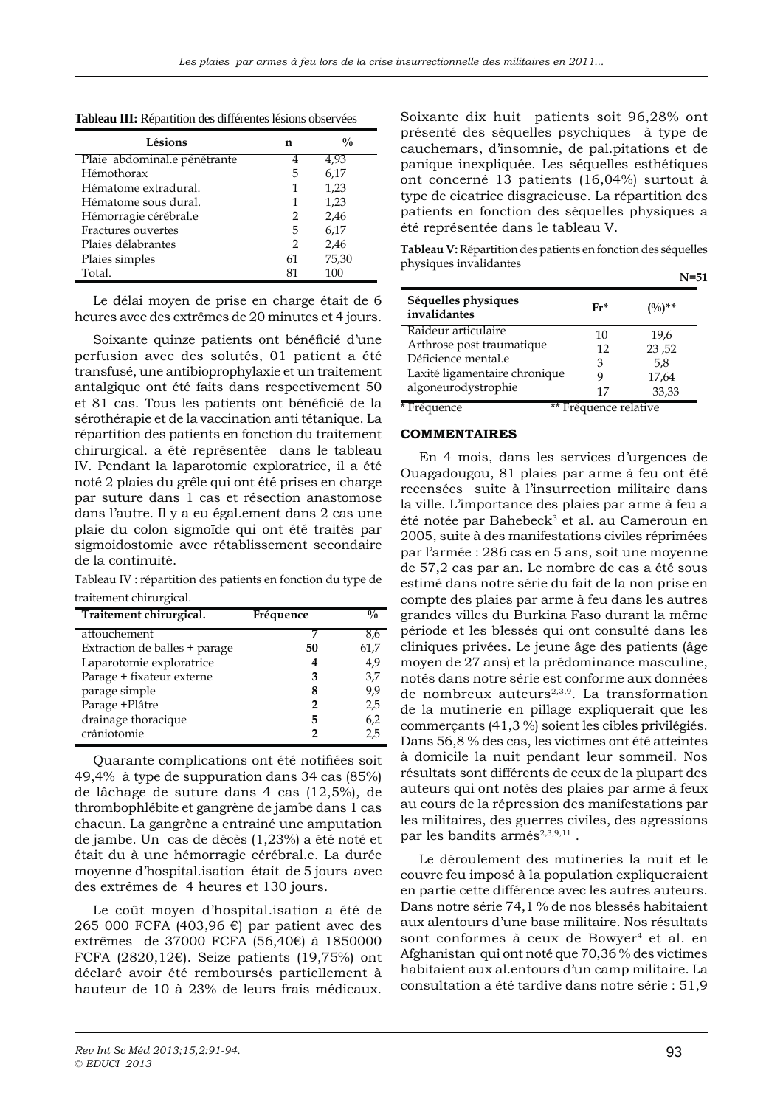| Tableau III: Répartition des différentes lésions observées |
|------------------------------------------------------------|
|------------------------------------------------------------|

| Lésions                      | n             | $\frac{0}{0}$ |
|------------------------------|---------------|---------------|
| Plaie abdominal.e pénétrante | 4             | 4,93          |
| Hémothorax                   | 5             | 6,17          |
| Hématome extradural.         | 1             | 1,23          |
| Hématome sous dural.         | 1             | 1,23          |
| Hémorragie cérébral.e        | $\mathcal{P}$ | 2,46          |
| Fractures ouvertes           | 5             | 6,17          |
| Plaies délabrantes           | 2             | 2,46          |
| Plaies simples               | 61            | 75,30         |
| Total.                       | 81            | 100           |

Le délai moyen de prise en charge était de 6 heures avec des extrêmes de 20 minutes et 4 jours.

Soixante quinze patients ont bénéficié d'une perfusion avec des solutés, 01 patient a été transfusé, une antibioprophylaxie et un traitement antalgique ont été faits dans respectivement 50 et 81 cas. Tous les patients ont bénéficié de la sérothérapie et de la vaccination anti tétanique. La répartition des patients en fonction du traitement chirurgical. a été représentée dans le tableau IV. Pendant la laparotomie exploratrice, il a été noté 2 plaies du grêle qui ont été prises en charge par suture dans 1 cas et résection anastomose dans l'autre. Il y a eu égal. ement dans 2 cas une plaie du colon sigmoïde qui ont été traités par sigmoidostomie avec rétablissement secondaire de la continuité.

Tableau IV : répartition des patients en fonction du type de traitement chirurgical.

| Traitement chirurgical.       | Fréquence | $\frac{0}{0}$ |
|-------------------------------|-----------|---------------|
| attouchement                  |           | 8,6           |
| Extraction de balles + parage | 50        | 61,7          |
| Laparotomie exploratrice      |           | 4,9           |
| Parage + fixateur externe     | 3         | 3,7           |
| parage simple                 | 8         | 9,9           |
| Parage +Plâtre                |           | 2,5           |
| drainage thoracique           | 5         | 6,2           |
| crâniotomie                   |           | 2.5           |

Quarante complications ont été notifiées soit 49,4% à type de suppuration dans 34 cas (85%) de lâchage de suture dans 4 cas (12,5%), de thrombophlébite et gangrène de jambe dans 1 cas chacun. La gangrène a entrainé une amputation de jambe. Un cas de décès (1,23%) a été noté et était du à une hémorragie cérébral.e. La durée moyenne d'hospital.isation était de 5 jours avec des extrêmes de 4 heures et 130 jours.

Le coût moyen d'hospital.isation a été de 265 000 FCFA (403,96 €) par patient avec des extrêmes de 37000 FCFA (56,40€) à 1850000 FCFA (2820,12 $\varepsilon$ ). Seize patients (19,75%) ont déclaré avoir été remboursés partiellement à hauteur de 10 à 23% de leurs frais médicaux.

Soixante dix huit patients soit 96,28% ont présenté des séquelles psychiques à type de cauchemars, d'insomnie, de pal.pitations et de panique inexpliquée. Les séquelles esthétiques ont concerné 13 patients (16,04%) surtout à type de cicatrice disgracieuse. La répartition des patients en fonction des séquelles physiques a été représentée dans le tableau V.

Tableau V: Répartition des patients en fonction des séquelles physiques invalidantes

|                                              |            | N=51                              |
|----------------------------------------------|------------|-----------------------------------|
| Séquelles physiques<br>invalidantes          | Fr*        | $(0, 0)$ **                       |
| Raideur articulaire                          | 10         | 19.6                              |
| Arthrose post traumatique                    | 12         | 23,52                             |
| Déficience mental.e                          | 3          | 5,8                               |
| Laxité ligamentaire chronique                | 9          | 17,64                             |
| algoneurodystrophie<br>$\sqrt{1 + \epsilon}$ | 17<br>44T/ | 33,33<br>$\overline{\phantom{a}}$ |

\* Fréquence \*\* Fréquence relative

## **COMMENTAIRES**

En 4 mois, dans les services d'urgences de Ouagadougou, 81 plaies par arme à feu ont été recensées suite à l'insurrection militaire dans la ville. L'importance des plaies par arme à feu a été notée par Bahebeck<sup>3</sup> et al. au Cameroun en 2005, suite à des manifestations civiles réprimées par l'armée : 286 cas en 5 ans, soit une moyenne de 57,2 cas par an. Le nombre de cas a été sous estimé dans notre série du fait de la non prise en compte des plaies par arme à feu dans les autres grandes villes du Burkina Faso durant la même période et les blessés qui ont consulté dans les cliniques privées. Le jeune âge des patients (âge moyen de 27 ans) et la prédominance masculine, notés dans notre série est conforme aux données de nombreux auteurs<sup>2,3,9</sup>. La transformation de la mutinerie en pillage expliquerait que les commerçants (41,3%) soient les cibles privilégiés. Dans 56,8 % des cas, les victimes ont été atteintes à domicile la nuit pendant leur sommeil. Nos résultats sont différents de ceux de la plupart des auteurs qui ont notés des plaies par arme à feux au cours de la répression des manifestations par les militaires, des guerres civiles, des agressions par les bandits armés<sup>2,3,9,11</sup>.

Le déroulement des mutineries la nuit et le couvre feu imposé à la population expliqueraient en partie cette différence avec les autres auteurs. Dans notre série 74,1 % de nos blessés habitaient aux alentours d'une base militaire. Nos résultats sont conformes à ceux de Bowyer<sup>4</sup> et al. en Afghanistan qui ont noté que 70,36 % des victimes habitaient aux al.entours d'un camp militaire. La consultation a été tardive dans notre série : 51,9